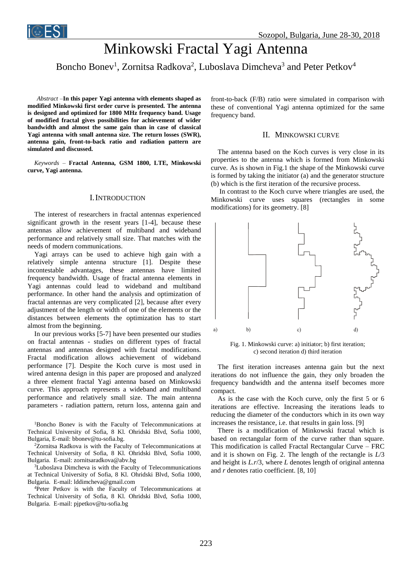

# Minkowski Fractal Yagi Antenna

Boncho Bonev<sup>1</sup>, Zornitsa Radkova<sup>2</sup>, Luboslava Dimcheva<sup>3</sup> and Peter Petkov<sup>4</sup>

*Abstract –***In this paper Yagi antenna with elements shaped as modified Minkowski first order curve is presented. The antenna is designed and optimized for 1800 MHz frequency band. Usage of modified fractal gives possibilities for achievement of wider bandwidth and almost the same gain than in case of classical Yagi antenna with small antenna size. The return losses (SWR), antenna gain, front-to-back ratio and radiation pattern are simulated and discussed.**

*Keywords –* **Fractal Antenna, GSM 1800, LTE, Minkowski curve, Yagi antenna.**

## I.INTRODUCTION

The interest of researchers in fractal antennas experienced significant growth in the resent years [1-4], because these antennas allow achievement of multiband and wideband performance and relatively small size. That matches with the needs of modern communications.

Yagi arrays can be used to achieve high gain with a relatively simple antenna structure [1]. Despite these incontestable advantages, these antennas have limited frequency bandwidth. Usage of fractal antenna elements in Yagi antennas could lead to wideband and multiband performance. In other hand the analysis and optimization of fractal antennas are very complicated [2], because after every adjustment of the length or width of one of the elements or the distances between elements the optimization has to start almost from the beginning.

In our previous works [5-7] have been presented our studies on fractal antennas - studies on different types of fractal antennas and antennas designed with fractal modifications. Fractal modification allows achievement of wideband performance [7]. Despite the Koch curve is most used in wired antenna design in this paper are proposed and analyzed a three element fractal Yagi antenna based on Minkowski curve. This approach represents a wideband and multiband performance and relatively small size. The main antenna parameters - radiation pattern, return loss, antenna gain and

<sup>1</sup>Boncho Bonev is with the Faculty of Telecommunications at Technical University of Sofia, 8 Kl. Ohridski Blvd, Sofia 1000, Bulgaria, E-mail: bbonev@tu-sofia.bg.

<sup>2</sup>Zornitsa Radkova is with the Faculty of Telecommunications at Technical University of Sofia, 8 Kl. Ohridski Blvd, Sofia 1000, Bulgaria. E-mail: zornitsaradkova@abv.bg

<sup>3</sup>Luboslava Dimcheva is with the Faculty of Telecommunications at Technical University of Sofia, 8 Kl. Ohridski Blvd, Sofia 1000, Bulgaria. E-mail: lddimcheva@gmail.com

<sup>4</sup>Peter Petkov is with the Faculty of Telecommunications at Technical University of Sofia, 8 Kl. Ohridski Blvd, Sofia 1000, Bulgaria. E-mail: pjpetkov@tu-sofia.bg

front-to-back (F/B) ratio were simulated in comparison with these of conventional Yagi antenna optimized for the same frequency band.

# II. MINKOWSKI CURVE

The antenna based on the Koch curves is very close in its properties to the antenna which is formed from Minkowski curve. As is shown in Fig.1 the shape of the Minkowski curve is formed by taking the initiator (a) and the generator structure (b) which is the first iteration of the recursive process.

In contrast to the Koch curve where triangles are used, the Minkowski curve uses squares (rectangles in some modifications) for its geometry. [8]



Fig. 1. Minkowski curve: a) initiator; b) first iteration; c) second iteration d) third iteration

The first iteration increases antenna gain but the next iterations do not influence the gain, they only broaden the frequency bandwidth and the antenna itself becomes more compact.

As is the case with the Koch curve, only the first 5 or 6 iterations are effective. Increasing the iterations leads to reducing the diameter of the conductors which in its own way increases the resistance, i.e. that results in gain loss. [9]

There is a modification of Minkowski fractal which is based on rectangular form of the curve rather than square. This modification is called Fractal Rectangular Curve – FRC and it is shown on Fig. 2. The length of the rectangle is *L*/3 and height is *L.r*/3, where *L* denotes length of original antenna and *r* denotes ratio coefficient. [8, 10]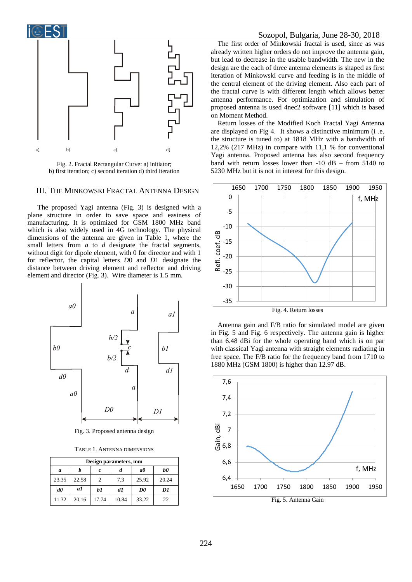

Fig. 2. Fractal Rectangular Curve: a) initiator; b) first iteration; c) second iteration d) third iteration

# III. THE MINKOWSKI FRACTAL ANTENNA DESIGN

The proposed Yagi antenna (Fig. 3) is designed with a plane structure in order to save space and easiness of manufacturing. It is optimized for GSM 1800 MHz band which is also widely used in 4G technology. The physical dimensions of the antenna are given in Table 1, where the small letters from *a* to *d* designate the fractal segments, without digit for dipole element, with 0 for director and with 1 for reflector, the capital letters *D*0 and *D*1 designate the distance between driving element and reflector and driving element and director (Fig. 3). Wire diameter is 1.5 mm.



Fig. 3. Proposed antenna design

TABLE 1. ANTENNA DIMENSIONS

| Design parameters, mm |       |       |       |           |       |
|-----------------------|-------|-------|-------|-----------|-------|
| a                     | n     | c     |       | a0        | b0    |
| 23.35                 | 22.58 | 2     | 7.3   | 25.92     | 20.24 |
| $d\theta$             | a1    | b1    | d1    | $\bm{D0}$ | D1    |
| 11.32                 | 20.16 | 17.74 | 10.84 | 33.22     | 22    |

The first order of Minkowski fractal is used, since as was already written higher orders do not improve the antenna gain, but lead to decrease in the usable bandwidth. The new in the design are the each of three antenna elements is shaped as first iteration of Minkowski curve and feeding is in the middle of the central element of the driving element. Also each part of the fractal curve is with different length which allows better antenna performance. For optimization and simulation of proposed antenna is used 4nec2 software [11] which is based on Moment Method.

Return losses of the Modified Koch Fractal Yagi Antenna are displayed on Fig 4. It shows a distinctive minimum (i .e. the structure is tuned to) at 1818 MHz with a bandwidth of 12,2% (217 MHz) in compare with 11,1 % for conventional Yagi antenna. Proposed antenna has also second frequency band with return losses lower than  $-10$  dB – from 5140 to 5230 MHz but it is not in interest for this design.



Antenna gain and F/B ratio for simulated model are given in Fig. 5 and Fig. 6 respectively. The antenna gain is higher than 6.48 dBi for the whole operating band which is on par with classical Yagi antenna with straight elements radiating in free space. The F/B ratio for the frequency band from 1710 to 1880 MHz (GSM 1800) is higher than 12.97 dB.

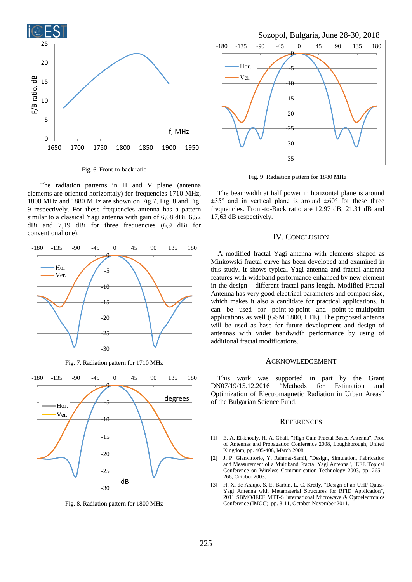

Fig. 6. Front-to-back ratio

The radiation patterns in H and V plane (antenna elements are oriented horizontaly) for frequencies 1710 MHz, 1800 MHz and 1880 MHz are shown on Fig.7, Fig. 8 and Fig. 9 respectively. For these frequencies antenna has a pattern similar to a classical Yagi antenna with gain of 6,68 dBi, 6,52 dBi and 7,19 dBi for three frequencies (6,9 dBi for conventional one).



Fig. 7. Radiation pattern for 1710 MHz



Fig. 8. Radiation pattern for 1800 MHz



Fig. 9. Radiation pattern for 1880 MHz

The beamwidth at half power in horizontal plane is around  $\pm 35^{\circ}$  and in vertical plane is around  $\pm 60^{\circ}$  for these three frequencies. Front-to-Back ratio are 12.97 dB, 21.31 dB and 17,63 dB respectively.

#### IV. CONCLUSION

A modified fractal Yagi antenna with elements shaped as Minkowski fractal curve has been developed and examined in this study. It shows typical Yagi antenna and fractal antenna features with wideband performance enhanced by new element in the design – different fractal parts length. Modified Fractal Antenna has very good electrical parameters and compact size, which makes it also a candidate for practical applications. It can be used for point-to-point and point-to-multipoint applications as well (GSM 1800, LTE). The proposed antenna will be used as base for future development and design of antennas with wider bandwidth performance by using of additional fractal modifications.

#### ACKNOWLEDGEMENT

This work was supported in part by the Grant DN07/19/15.12.2016 "Methods for Estimation and Optimization of Electromagnetic Radiation in Urban Areas" of the Bulgarian Science Fund.

## **REFERENCES**

- [1] E. A. El-khouly, H. A. Ghali, "High Gain Fractal Based Antenna", Proc of Antennas and Propagation Conference 2008, Loughborough, United Kingdom, pp. 405-408, March 2008.
- [2] J. P. Gianvittorio, Y. Rahmat-Samii, "Design, Simulation, Fabrication and Measurement of a Multiband Fractal Yagi Antenna", IEEE Topical Conference on Wireless Communication Technology 2003, pp. 265 - 266, October 2003.
- [3] H. X. de Araujo, S. E. Barbin, L. C. Kretly, "Design of an UHF Quasi-Yagi Antenna with Metamaterial Structures for RFID Application", 2011 SBMO/IEEE MTT-S International Microwave & Optoelectronics Conference (IMOC), pp. 8-11, October-November 2011.